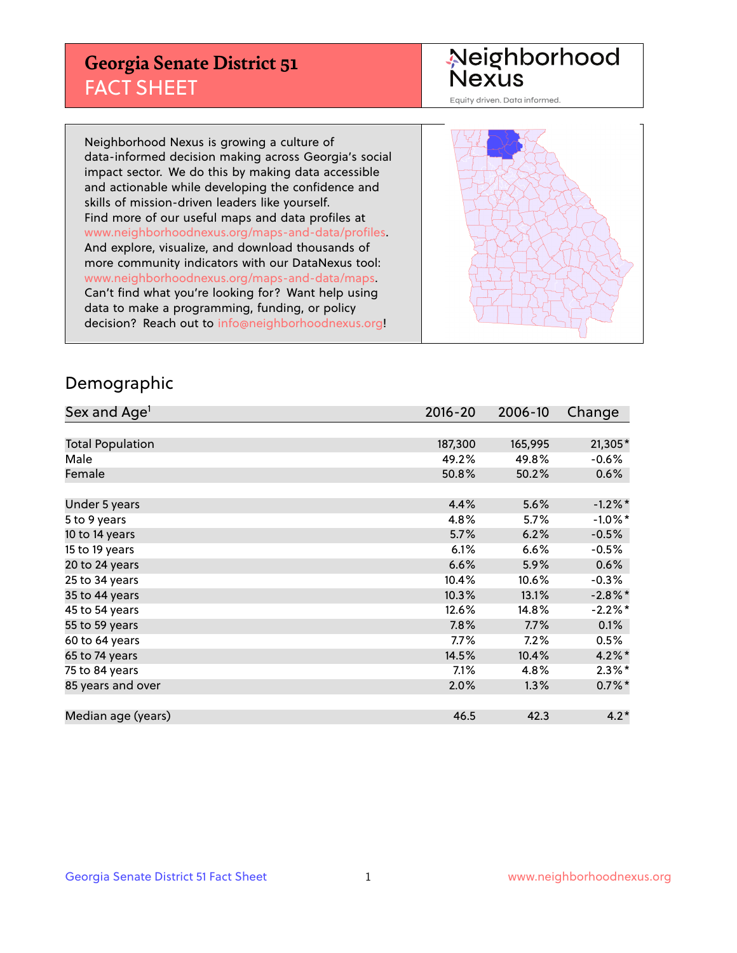## **Georgia Senate District 51** FACT SHEET

# Neighborhood<br>Nexus

Equity driven. Data informed.

Neighborhood Nexus is growing a culture of data-informed decision making across Georgia's social impact sector. We do this by making data accessible and actionable while developing the confidence and skills of mission-driven leaders like yourself. Find more of our useful maps and data profiles at www.neighborhoodnexus.org/maps-and-data/profiles. And explore, visualize, and download thousands of more community indicators with our DataNexus tool: www.neighborhoodnexus.org/maps-and-data/maps. Can't find what you're looking for? Want help using data to make a programming, funding, or policy decision? Reach out to [info@neighborhoodnexus.org!](mailto:info@neighborhoodnexus.org)



### Demographic

| Sex and Age <sup>1</sup> | $2016 - 20$ | 2006-10 | Change     |
|--------------------------|-------------|---------|------------|
|                          |             |         |            |
| <b>Total Population</b>  | 187,300     | 165,995 | 21,305*    |
| Male                     | 49.2%       | 49.8%   | $-0.6%$    |
| Female                   | 50.8%       | 50.2%   | 0.6%       |
|                          |             |         |            |
| Under 5 years            | 4.4%        | 5.6%    | $-1.2\%$ * |
| 5 to 9 years             | 4.8%        | 5.7%    | $-1.0\%$ * |
| 10 to 14 years           | 5.7%        | 6.2%    | $-0.5%$    |
| 15 to 19 years           | 6.1%        | 6.6%    | $-0.5%$    |
| 20 to 24 years           | 6.6%        | 5.9%    | 0.6%       |
| 25 to 34 years           | 10.4%       | 10.6%   | $-0.3%$    |
| 35 to 44 years           | 10.3%       | 13.1%   | $-2.8\%$ * |
| 45 to 54 years           | 12.6%       | 14.8%   | $-2.2%$ *  |
| 55 to 59 years           | 7.8%        | 7.7%    | 0.1%       |
| 60 to 64 years           | $7.7\%$     | 7.2%    | 0.5%       |
| 65 to 74 years           | 14.5%       | 10.4%   | $4.2\%$ *  |
| 75 to 84 years           | 7.1%        | 4.8%    | $2.3\%$ *  |
| 85 years and over        | 2.0%        | 1.3%    | $0.7\%$ *  |
|                          |             |         |            |
| Median age (years)       | 46.5        | 42.3    | $4.2*$     |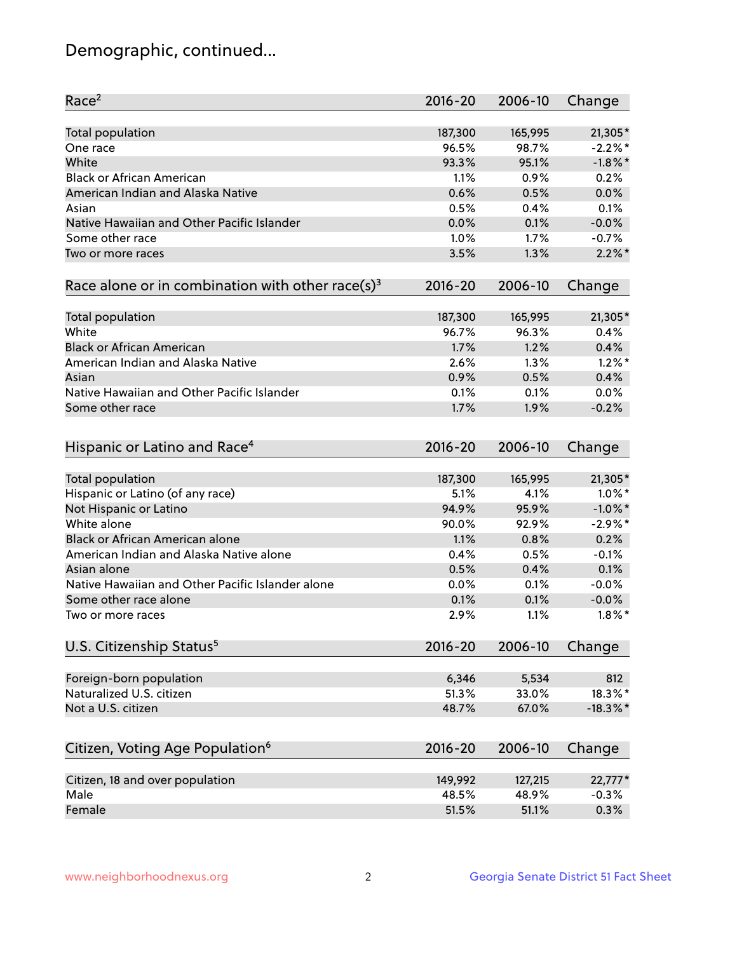## Demographic, continued...

| Race <sup>2</sup>                                            | $2016 - 20$ | 2006-10 | Change      |
|--------------------------------------------------------------|-------------|---------|-------------|
| <b>Total population</b>                                      | 187,300     | 165,995 | $21,305*$   |
| One race                                                     | 96.5%       | 98.7%   | $-2.2%$ *   |
| White                                                        | 93.3%       | 95.1%   | $-1.8\%$ *  |
| <b>Black or African American</b>                             | 1.1%        | 0.9%    | 0.2%        |
| American Indian and Alaska Native                            | 0.6%        | 0.5%    | 0.0%        |
| Asian                                                        | 0.5%        | 0.4%    | 0.1%        |
| Native Hawaiian and Other Pacific Islander                   | 0.0%        | 0.1%    | $-0.0%$     |
| Some other race                                              | 1.0%        | 1.7%    | $-0.7%$     |
| Two or more races                                            | 3.5%        | 1.3%    | $2.2\%$ *   |
| Race alone or in combination with other race(s) <sup>3</sup> | $2016 - 20$ | 2006-10 | Change      |
| Total population                                             | 187,300     | 165,995 | $21,305*$   |
| White                                                        | 96.7%       | 96.3%   | 0.4%        |
| <b>Black or African American</b>                             | 1.7%        | 1.2%    | 0.4%        |
| American Indian and Alaska Native                            | 2.6%        | 1.3%    | $1.2\%$ *   |
| Asian                                                        | 0.9%        | 0.5%    | 0.4%        |
| Native Hawaiian and Other Pacific Islander                   | 0.1%        | 0.1%    | 0.0%        |
| Some other race                                              | 1.7%        | 1.9%    | $-0.2%$     |
|                                                              |             |         |             |
| Hispanic or Latino and Race <sup>4</sup>                     | $2016 - 20$ | 2006-10 | Change      |
| <b>Total population</b>                                      | 187,300     | 165,995 | 21,305*     |
| Hispanic or Latino (of any race)                             | 5.1%        | 4.1%    | $1.0\%$ *   |
| Not Hispanic or Latino                                       | 94.9%       | 95.9%   | $-1.0\%$ *  |
| White alone                                                  | 90.0%       | 92.9%   | $-2.9\%$ *  |
| Black or African American alone                              | 1.1%        | 0.8%    | 0.2%        |
| American Indian and Alaska Native alone                      | 0.4%        | 0.5%    | $-0.1%$     |
| Asian alone                                                  | 0.5%        | 0.4%    | 0.1%        |
| Native Hawaiian and Other Pacific Islander alone             | 0.0%        | 0.1%    | $-0.0%$     |
| Some other race alone                                        | 0.1%        | 0.1%    | $-0.0%$     |
| Two or more races                                            | 2.9%        | 1.1%    | $1.8\%$ *   |
| U.S. Citizenship Status <sup>5</sup>                         | $2016 - 20$ | 2006-10 | Change      |
|                                                              |             |         |             |
| Foreign-born population                                      | 6,346       | 5,534   | 812         |
| Naturalized U.S. citizen                                     | 51.3%       | 33.0%   | 18.3%*      |
| Not a U.S. citizen                                           | 48.7%       | 67.0%   | $-18.3\%$ * |
| Citizen, Voting Age Population <sup>6</sup>                  | 2016-20     | 2006-10 | Change      |
| Citizen, 18 and over population                              | 149,992     | 127,215 | 22,777*     |
| Male                                                         | 48.5%       | 48.9%   | $-0.3%$     |
| Female                                                       | 51.5%       | 51.1%   | 0.3%        |
|                                                              |             |         |             |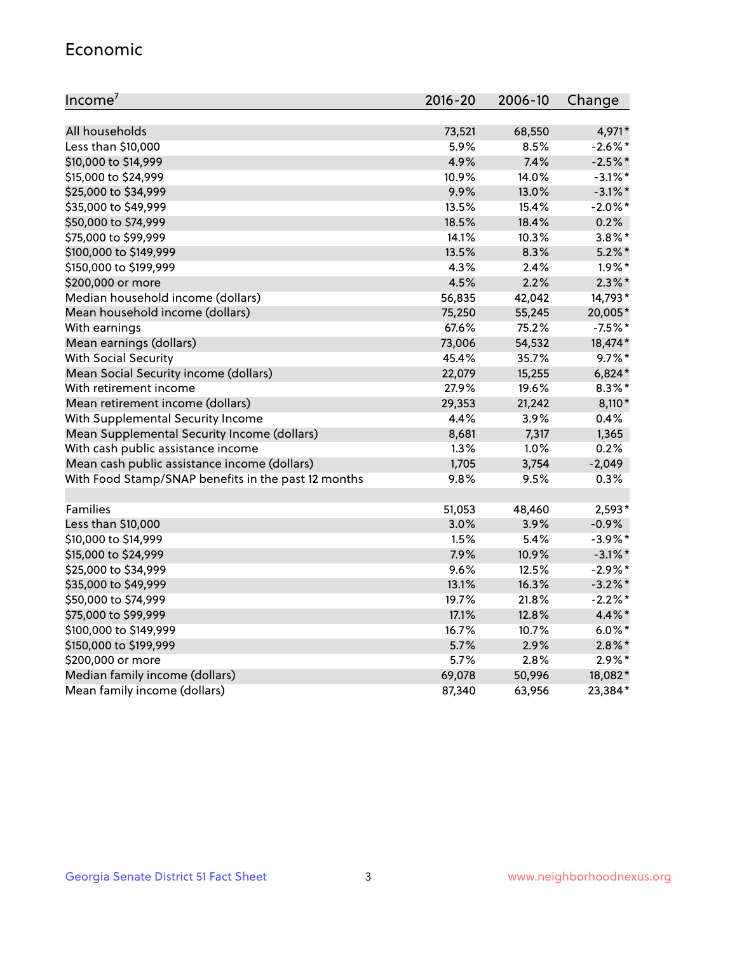#### Economic

| Income <sup>7</sup>                                 | 2016-20 | 2006-10 | Change     |
|-----------------------------------------------------|---------|---------|------------|
|                                                     |         |         |            |
| All households                                      | 73,521  | 68,550  | 4,971*     |
| Less than \$10,000                                  | 5.9%    | 8.5%    | $-2.6\%$ * |
| \$10,000 to \$14,999                                | 4.9%    | 7.4%    | $-2.5%$ *  |
| \$15,000 to \$24,999                                | 10.9%   | 14.0%   | $-3.1\%$ * |
| \$25,000 to \$34,999                                | 9.9%    | 13.0%   | $-3.1\%$ * |
| \$35,000 to \$49,999                                | 13.5%   | 15.4%   | $-2.0\%$ * |
| \$50,000 to \$74,999                                | 18.5%   | 18.4%   | 0.2%       |
| \$75,000 to \$99,999                                | 14.1%   | 10.3%   | $3.8\%$ *  |
| \$100,000 to \$149,999                              | 13.5%   | 8.3%    | $5.2\%$ *  |
| \$150,000 to \$199,999                              | 4.3%    | 2.4%    | $1.9\%$ *  |
| \$200,000 or more                                   | 4.5%    | 2.2%    | $2.3\%$ *  |
| Median household income (dollars)                   | 56,835  | 42,042  | 14,793*    |
| Mean household income (dollars)                     | 75,250  | 55,245  | 20,005*    |
| With earnings                                       | 67.6%   | 75.2%   | $-7.5%$ *  |
| Mean earnings (dollars)                             | 73,006  | 54,532  | 18,474*    |
| <b>With Social Security</b>                         | 45.4%   | 35.7%   | $9.7\%$ *  |
| Mean Social Security income (dollars)               | 22,079  | 15,255  | $6,824*$   |
| With retirement income                              | 27.9%   | 19.6%   | $8.3\%$ *  |
| Mean retirement income (dollars)                    | 29,353  | 21,242  | 8,110*     |
| With Supplemental Security Income                   | 4.4%    | 3.9%    | 0.4%       |
| Mean Supplemental Security Income (dollars)         | 8,681   | 7,317   | 1,365      |
| With cash public assistance income                  | 1.3%    | 1.0%    | 0.2%       |
| Mean cash public assistance income (dollars)        | 1,705   | 3,754   | $-2,049$   |
| With Food Stamp/SNAP benefits in the past 12 months | 9.8%    | 9.5%    | 0.3%       |
|                                                     |         |         |            |
| <b>Families</b>                                     | 51,053  | 48,460  | 2,593*     |
| Less than \$10,000                                  | 3.0%    | 3.9%    | $-0.9%$    |
| \$10,000 to \$14,999                                | 1.5%    | 5.4%    | $-3.9\%$ * |
| \$15,000 to \$24,999                                | 7.9%    | 10.9%   | $-3.1\%$ * |
| \$25,000 to \$34,999                                | 9.6%    | 12.5%   | $-2.9\%$ * |
| \$35,000 to \$49,999                                | 13.1%   | 16.3%   | $-3.2\%$ * |
| \$50,000 to \$74,999                                | 19.7%   | 21.8%   | $-2.2%$ *  |
| \$75,000 to \$99,999                                | 17.1%   | 12.8%   | $4.4\%$ *  |
| \$100,000 to \$149,999                              | 16.7%   | 10.7%   | $6.0\%$ *  |
| \$150,000 to \$199,999                              | 5.7%    | 2.9%    | $2.8\%$ *  |
| \$200,000 or more                                   | 5.7%    | 2.8%    | $2.9\%*$   |
| Median family income (dollars)                      | 69,078  | 50,996  | 18,082*    |
| Mean family income (dollars)                        | 87,340  | 63,956  | 23,384*    |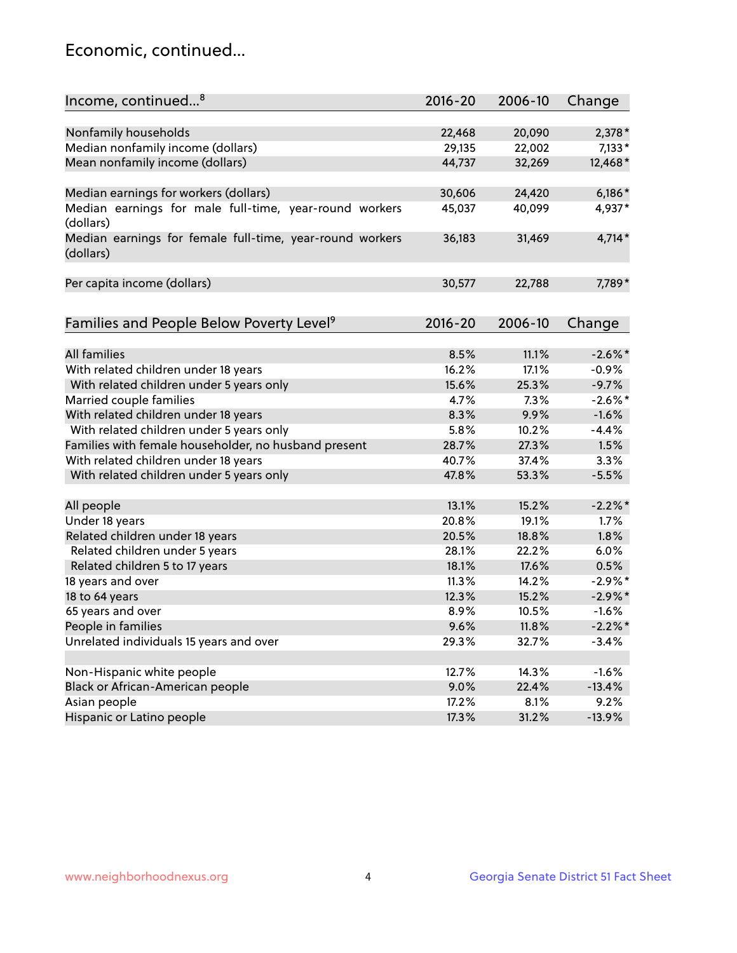## Economic, continued...

| Income, continued <sup>8</sup><br>$2016 - 20$<br>2006-10                                  | Change     |
|-------------------------------------------------------------------------------------------|------------|
|                                                                                           |            |
| Nonfamily households<br>20,090<br>22,468                                                  | $2,378*$   |
| Median nonfamily income (dollars)<br>29,135<br>22,002                                     | $7,133*$   |
| Mean nonfamily income (dollars)<br>44,737<br>32,269                                       | 12,468*    |
| Median earnings for workers (dollars)<br>30,606<br>24,420                                 | $6,186*$   |
| Median earnings for male full-time, year-round workers<br>45,037<br>40,099<br>(dollars)   | 4,937*     |
| Median earnings for female full-time, year-round workers<br>36,183<br>31,469<br>(dollars) | $4,714*$   |
| Per capita income (dollars)<br>30,577<br>22,788                                           | 7,789*     |
| Families and People Below Poverty Level <sup>9</sup><br>2016-20<br>2006-10                | Change     |
|                                                                                           |            |
| <b>All families</b><br>8.5%<br>11.1%                                                      | $-2.6\%$ * |
| With related children under 18 years<br>16.2%<br>17.1%                                    | $-0.9%$    |
| With related children under 5 years only<br>15.6%<br>25.3%                                | $-9.7%$    |
| Married couple families<br>4.7%<br>7.3%                                                   | $-2.6\%$ * |
| With related children under 18 years<br>8.3%<br>9.9%                                      | $-1.6%$    |
| With related children under 5 years only<br>5.8%<br>10.2%                                 | $-4.4%$    |
| Families with female householder, no husband present<br>27.3%<br>28.7%                    | 1.5%       |
| With related children under 18 years<br>40.7%<br>37.4%                                    | 3.3%       |
| With related children under 5 years only<br>47.8%<br>53.3%                                | $-5.5%$    |
| 15.2%<br>All people<br>13.1%                                                              | $-2.2\%$ * |
| Under 18 years<br>20.8%<br>19.1%                                                          | 1.7%       |
| Related children under 18 years<br>20.5%<br>18.8%                                         | 1.8%       |
| Related children under 5 years<br>22.2%<br>28.1%                                          | 6.0%       |
| Related children 5 to 17 years<br>17.6%<br>18.1%                                          | 0.5%       |
| 18 years and over<br>11.3%<br>14.2%                                                       | $-2.9\%$ * |
| 18 to 64 years<br>12.3%<br>15.2%                                                          | $-2.9\%$ * |
| 65 years and over<br>8.9%<br>10.5%                                                        | $-1.6%$    |
| 9.6%                                                                                      |            |
| People in families<br>11.8%<br>Unrelated individuals 15 years and over                    | $-2.2\%$ * |
| 29.3%<br>32.7%                                                                            | $-3.4%$    |
| Non-Hispanic white people<br>12.7%<br>14.3%                                               | $-1.6%$    |
| Black or African-American people<br>9.0%<br>22.4%                                         | $-13.4%$   |
| Asian people<br>17.2%<br>8.1%                                                             | 9.2%       |
| Hispanic or Latino people<br>17.3%<br>31.2%                                               | $-13.9%$   |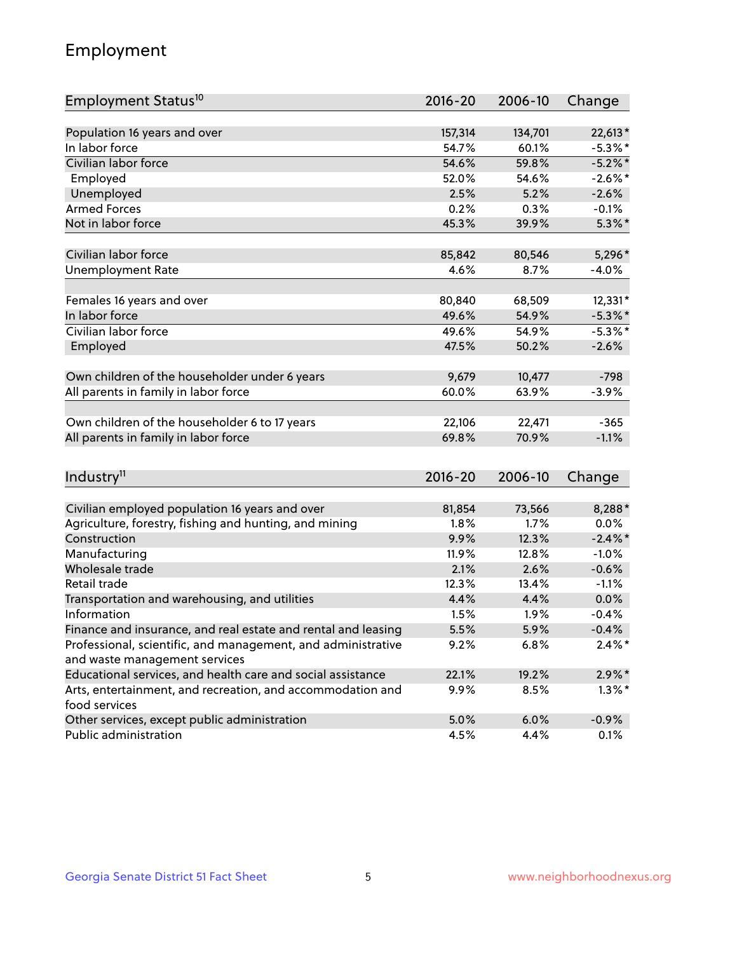## Employment

| Employment Status <sup>10</sup>                                             | $2016 - 20$ | 2006-10 | Change     |
|-----------------------------------------------------------------------------|-------------|---------|------------|
|                                                                             |             |         |            |
| Population 16 years and over<br>In labor force                              | 157,314     | 134,701 | 22,613*    |
| Civilian labor force                                                        | 54.7%       | 60.1%   | $-5.3\%$ * |
|                                                                             | 54.6%       | 59.8%   | $-5.2%$ *  |
| Employed                                                                    | 52.0%       | 54.6%   | $-2.6\%$ * |
| Unemployed                                                                  | 2.5%        | 5.2%    | $-2.6%$    |
| <b>Armed Forces</b>                                                         | 0.2%        | 0.3%    | $-0.1%$    |
| Not in labor force                                                          | 45.3%       | 39.9%   | $5.3\%$ *  |
| Civilian labor force                                                        | 85,842      | 80,546  | 5,296*     |
| <b>Unemployment Rate</b>                                                    | 4.6%        | 8.7%    | $-4.0%$    |
|                                                                             |             |         |            |
| Females 16 years and over                                                   | 80,840      | 68,509  | 12,331*    |
| In labor force                                                              | 49.6%       | 54.9%   | $-5.3\%$ * |
| Civilian labor force                                                        | 49.6%       | 54.9%   | $-5.3\%$ * |
| Employed                                                                    | 47.5%       | 50.2%   | $-2.6%$    |
| Own children of the householder under 6 years                               | 9,679       | 10,477  | $-798$     |
| All parents in family in labor force                                        | 60.0%       | 63.9%   | $-3.9%$    |
|                                                                             |             |         |            |
| Own children of the householder 6 to 17 years                               | 22,106      | 22,471  | $-365$     |
| All parents in family in labor force                                        | 69.8%       | 70.9%   | $-1.1%$    |
|                                                                             |             |         |            |
| Industry <sup>11</sup>                                                      | $2016 - 20$ | 2006-10 | Change     |
|                                                                             |             |         |            |
| Civilian employed population 16 years and over                              | 81,854      | 73,566  | 8,288*     |
| Agriculture, forestry, fishing and hunting, and mining                      | 1.8%        | 1.7%    | 0.0%       |
| Construction                                                                | 9.9%        | 12.3%   | $-2.4\%$   |
| Manufacturing                                                               | 11.9%       | 12.8%   | $-1.0%$    |
| Wholesale trade                                                             | 2.1%        | 2.6%    | $-0.6%$    |
| Retail trade                                                                | 12.3%       | 13.4%   | $-1.1%$    |
| Transportation and warehousing, and utilities                               | 4.4%        | 4.4%    | 0.0%       |
| Information                                                                 | 1.5%        | 1.9%    | $-0.4%$    |
| Finance and insurance, and real estate and rental and leasing               | 5.5%        | 5.9%    | $-0.4%$    |
| Professional, scientific, and management, and administrative                | 9.2%        | 6.8%    | $2.4\%$ *  |
| and waste management services                                               |             |         |            |
| Educational services, and health care and social assistance                 | 22.1%       | 19.2%   | $2.9\%$ *  |
| Arts, entertainment, and recreation, and accommodation and<br>food services | 9.9%        | 8.5%    | $1.3\%$ *  |
| Other services, except public administration                                | 5.0%        | 6.0%    | $-0.9%$    |
| Public administration                                                       | 4.5%        | 4.4%    | 0.1%       |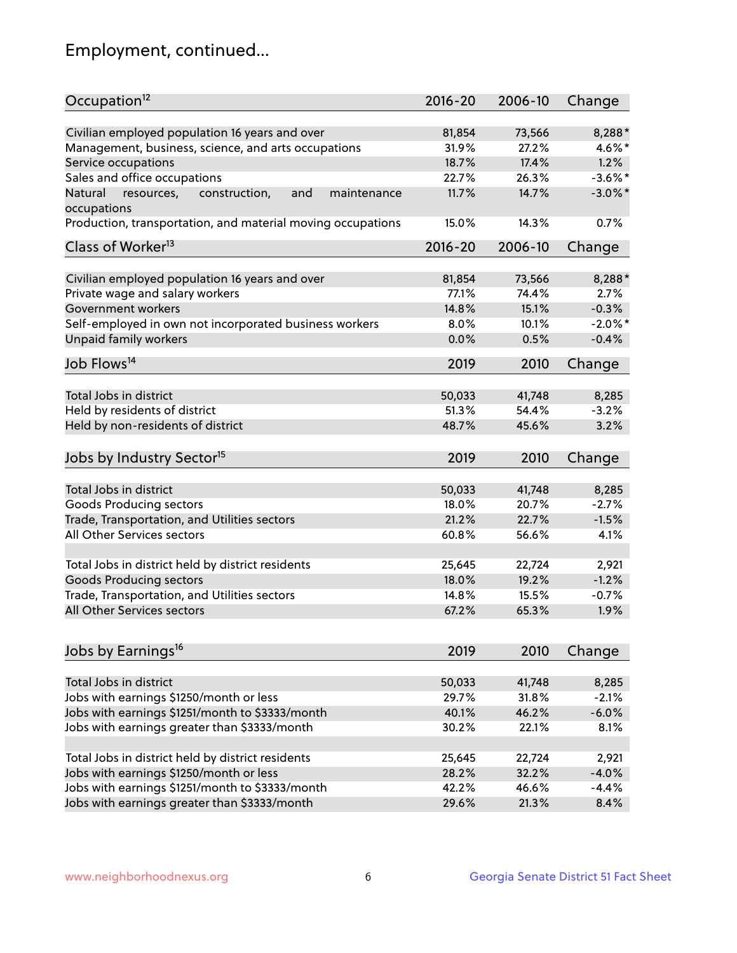## Employment, continued...

| Occupation <sup>12</sup>                                                    | $2016 - 20$ | 2006-10 | Change     |
|-----------------------------------------------------------------------------|-------------|---------|------------|
| Civilian employed population 16 years and over                              | 81,854      | 73,566  | 8,288*     |
| Management, business, science, and arts occupations                         | 31.9%       | 27.2%   | 4.6%*      |
| Service occupations                                                         | 18.7%       | 17.4%   | 1.2%       |
| Sales and office occupations                                                | 22.7%       | 26.3%   | $-3.6\%$ * |
|                                                                             | 11.7%       | 14.7%   | $-3.0\%$ * |
| Natural<br>and<br>maintenance<br>resources,<br>construction,<br>occupations |             |         |            |
| Production, transportation, and material moving occupations                 | 15.0%       | 14.3%   | 0.7%       |
| Class of Worker <sup>13</sup>                                               | $2016 - 20$ | 2006-10 | Change     |
|                                                                             |             |         |            |
| Civilian employed population 16 years and over                              | 81,854      | 73,566  | 8,288*     |
| Private wage and salary workers                                             | 77.1%       | 74.4%   | 2.7%       |
| Government workers                                                          | 14.8%       | 15.1%   | $-0.3%$    |
| Self-employed in own not incorporated business workers                      | 8.0%        | 10.1%   | $-2.0\%$ * |
| Unpaid family workers                                                       | 0.0%        | 0.5%    | $-0.4%$    |
| Job Flows <sup>14</sup>                                                     | 2019        | 2010    | Change     |
|                                                                             |             |         |            |
| Total Jobs in district                                                      | 50,033      | 41,748  | 8,285      |
| Held by residents of district                                               | 51.3%       | 54.4%   | $-3.2%$    |
| Held by non-residents of district                                           | 48.7%       | 45.6%   | 3.2%       |
| Jobs by Industry Sector <sup>15</sup>                                       | 2019        | 2010    | Change     |
|                                                                             |             |         |            |
| Total Jobs in district                                                      | 50,033      | 41,748  | 8,285      |
| Goods Producing sectors                                                     | 18.0%       | 20.7%   | $-2.7%$    |
| Trade, Transportation, and Utilities sectors                                | 21.2%       | 22.7%   | $-1.5%$    |
| All Other Services sectors                                                  | 60.8%       | 56.6%   | 4.1%       |
|                                                                             |             |         |            |
| Total Jobs in district held by district residents                           | 25,645      | 22,724  | 2,921      |
| <b>Goods Producing sectors</b>                                              | 18.0%       | 19.2%   | $-1.2%$    |
| Trade, Transportation, and Utilities sectors                                | 14.8%       | 15.5%   | $-0.7%$    |
| All Other Services sectors                                                  | 67.2%       | 65.3%   | 1.9%       |
|                                                                             |             |         |            |
| Jobs by Earnings <sup>16</sup>                                              | 2019        | 2010    | Change     |
| Total Jobs in district                                                      | 50,033      | 41,748  | 8,285      |
|                                                                             |             |         |            |
| Jobs with earnings \$1250/month or less                                     | 29.7%       | 31.8%   | $-2.1%$    |
| Jobs with earnings \$1251/month to \$3333/month                             | 40.1%       | 46.2%   | $-6.0%$    |
| Jobs with earnings greater than \$3333/month                                | 30.2%       | 22.1%   | 8.1%       |
| Total Jobs in district held by district residents                           | 25,645      | 22,724  | 2,921      |
| Jobs with earnings \$1250/month or less                                     | 28.2%       | 32.2%   | $-4.0%$    |
| Jobs with earnings \$1251/month to \$3333/month                             | 42.2%       | 46.6%   | $-4.4%$    |
| Jobs with earnings greater than \$3333/month                                | 29.6%       | 21.3%   | 8.4%       |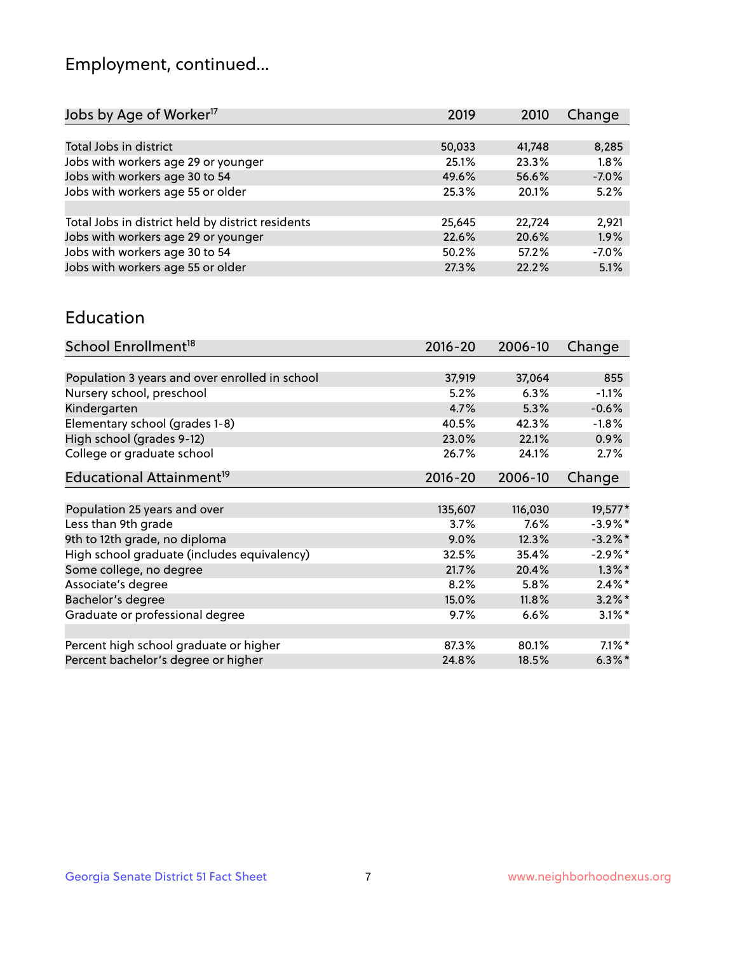## Employment, continued...

| 2019   | 2010   | Change  |
|--------|--------|---------|
|        |        |         |
| 50,033 | 41,748 | 8,285   |
| 25.1%  | 23.3%  | 1.8%    |
| 49.6%  | 56.6%  | $-7.0%$ |
| 25.3%  | 20.1%  | 5.2%    |
|        |        |         |
| 25,645 | 22,724 | 2,921   |
| 22.6%  | 20.6%  | 1.9%    |
| 50.2%  | 57.2%  | $-7.0%$ |
| 27.3%  | 22.2%  | 5.1%    |
|        |        |         |

#### Education

| School Enrollment <sup>18</sup>                | $2016 - 20$ | 2006-10 | Change     |
|------------------------------------------------|-------------|---------|------------|
|                                                |             |         |            |
| Population 3 years and over enrolled in school | 37,919      | 37,064  | 855        |
| Nursery school, preschool                      | 5.2%        | 6.3%    | $-1.1%$    |
| Kindergarten                                   | 4.7%        | 5.3%    | $-0.6%$    |
| Elementary school (grades 1-8)                 | 40.5%       | 42.3%   | $-1.8%$    |
| High school (grades 9-12)                      | 23.0%       | 22.1%   | $0.9\%$    |
| College or graduate school                     | 26.7%       | 24.1%   | 2.7%       |
| Educational Attainment <sup>19</sup>           | $2016 - 20$ | 2006-10 | Change     |
|                                                |             |         |            |
| Population 25 years and over                   | 135,607     | 116,030 | 19,577*    |
| Less than 9th grade                            | 3.7%        | 7.6%    | $-3.9\%$ * |
| 9th to 12th grade, no diploma                  | 9.0%        | 12.3%   | $-3.2%$ *  |
| High school graduate (includes equivalency)    | 32.5%       | 35.4%   | $-2.9%$ *  |
| Some college, no degree                        | 21.7%       | 20.4%   | $1.3\%$ *  |
| Associate's degree                             | 8.2%        | 5.8%    | $2.4\%$ *  |
| Bachelor's degree                              | 15.0%       | 11.8%   | $3.2\%$ *  |
| Graduate or professional degree                | $9.7\%$     | 6.6%    | $3.1\%$ *  |
|                                                |             |         |            |
| Percent high school graduate or higher         | 87.3%       | 80.1%   | $7.1\%$ *  |
| Percent bachelor's degree or higher            | 24.8%       | 18.5%   | $6.3\%$ *  |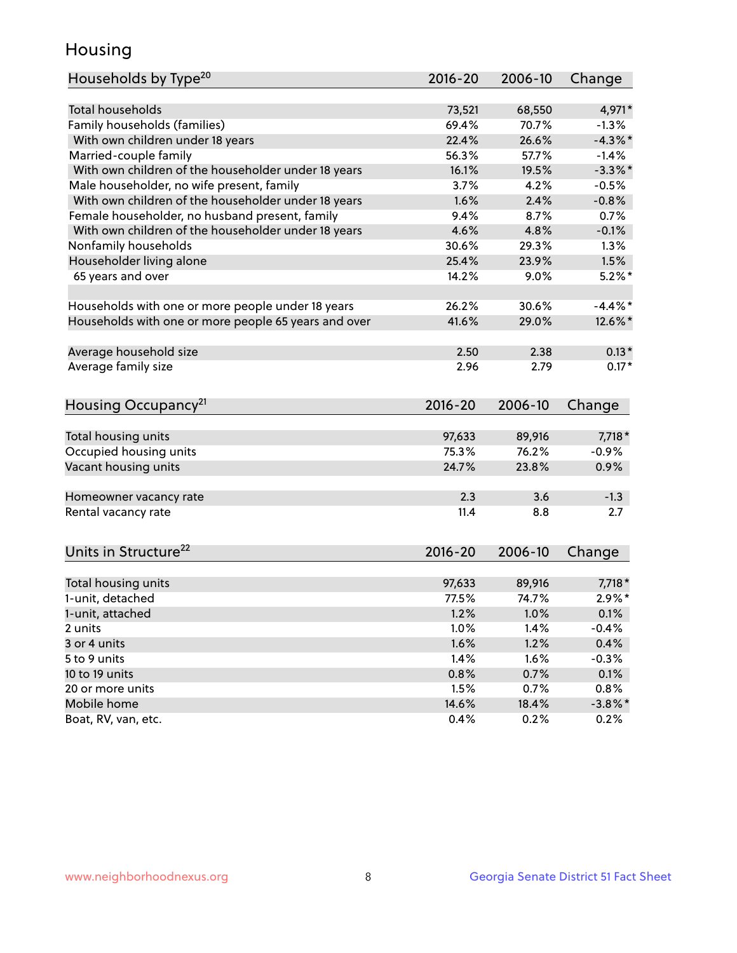## Housing

| Households by Type <sup>20</sup>                     | 2016-20 | 2006-10       | Change       |
|------------------------------------------------------|---------|---------------|--------------|
|                                                      |         |               |              |
| <b>Total households</b>                              | 73,521  | 68,550        | 4,971*       |
| Family households (families)                         | 69.4%   | 70.7%         | $-1.3%$      |
| With own children under 18 years                     | 22.4%   | 26.6%         | $-4.3%$      |
| Married-couple family                                | 56.3%   | 57.7%         | $-1.4%$      |
| With own children of the householder under 18 years  | 16.1%   | 19.5%         | $-3.3\%$ *   |
| Male householder, no wife present, family            | 3.7%    | 4.2%          | $-0.5%$      |
| With own children of the householder under 18 years  | 1.6%    | 2.4%          | $-0.8%$      |
| Female householder, no husband present, family       | 9.4%    | 8.7%          | 0.7%         |
| With own children of the householder under 18 years  | 4.6%    | 4.8%          | $-0.1%$      |
| Nonfamily households                                 | 30.6%   | 29.3%         | 1.3%         |
| Householder living alone                             | 25.4%   | 23.9%         | 1.5%         |
| 65 years and over                                    | 14.2%   | 9.0%          | $5.2\%$ *    |
| Households with one or more people under 18 years    | 26.2%   | 30.6%         | $-4.4\%$ *   |
|                                                      |         |               |              |
| Households with one or more people 65 years and over | 41.6%   | 29.0%         | 12.6%*       |
| Average household size                               | 2.50    | 2.38          | $0.13*$      |
| Average family size                                  | 2.96    | 2.79          | $0.17*$      |
| Housing Occupancy <sup>21</sup>                      | 2016-20 | 2006-10       | Change       |
|                                                      |         |               |              |
| Total housing units                                  | 97,633  | 89,916        | 7,718 *      |
| Occupied housing units                               | 75.3%   | 76.2%         | $-0.9%$      |
| Vacant housing units                                 | 24.7%   | 23.8%         | 0.9%         |
|                                                      |         |               |              |
| Homeowner vacancy rate                               | 2.3     | 3.6           | $-1.3$       |
| Rental vacancy rate                                  | 11.4    | 8.8           | 2.7          |
|                                                      |         |               |              |
| Units in Structure <sup>22</sup>                     | 2016-20 | 2006-10       | Change       |
| Total housing units                                  | 97,633  | 89,916        | 7,718 *      |
| 1-unit, detached                                     | 77.5%   | 74.7%         | $2.9\%*$     |
| 1-unit, attached                                     | 1.2%    | 1.0%          | 0.1%         |
| 2 units                                              | 1.0%    | 1.4%          | $-0.4%$      |
| 3 or 4 units                                         | 1.6%    | 1.2%          | 0.4%         |
| 5 to 9 units                                         | 1.4%    | 1.6%          | $-0.3%$      |
| 10 to 19 units                                       | 0.8%    |               |              |
|                                                      |         | 0.7%          | 0.1%<br>0.8% |
| 20 or more units<br>Mobile home                      | 1.5%    | 0.7%<br>18.4% |              |
|                                                      | 14.6%   |               | $-3.8\%$ *   |
| Boat, RV, van, etc.                                  | 0.4%    | 0.2%          | 0.2%         |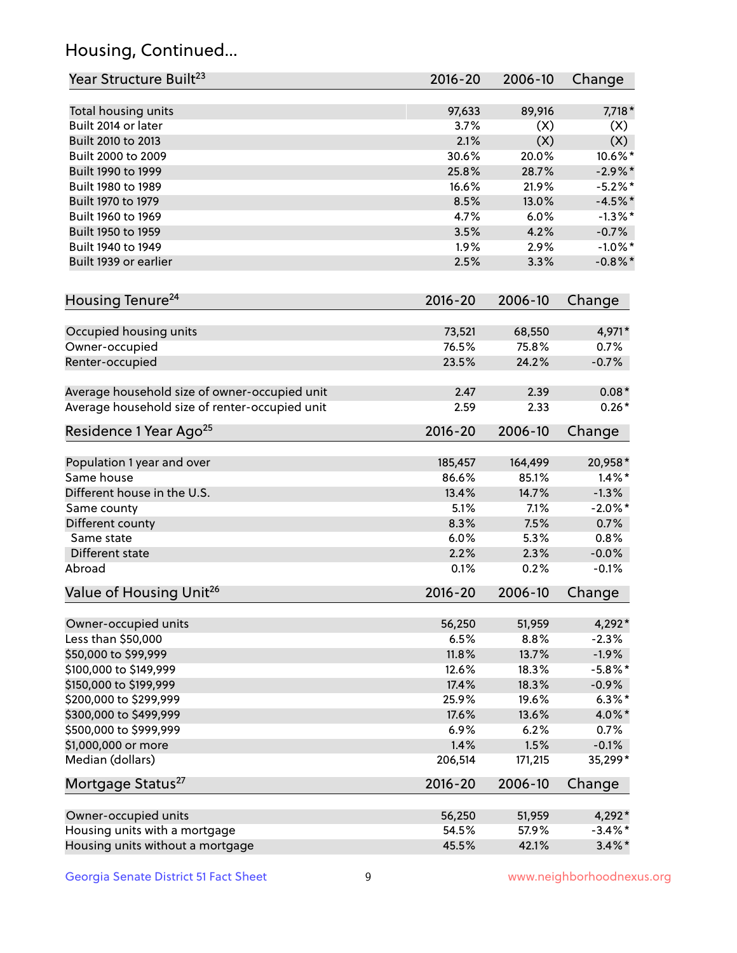## Housing, Continued...

| Year Structure Built <sup>23</sup>             | 2016-20     | 2006-10 | Change     |
|------------------------------------------------|-------------|---------|------------|
| Total housing units                            | 97,633      | 89,916  | 7,718 *    |
| Built 2014 or later                            | 3.7%        | (X)     | (X)        |
| Built 2010 to 2013                             | 2.1%        | (X)     | (X)        |
| Built 2000 to 2009                             | 30.6%       | 20.0%   | 10.6%*     |
| Built 1990 to 1999                             | 25.8%       | 28.7%   | $-2.9%$ *  |
| Built 1980 to 1989                             | 16.6%       | 21.9%   | $-5.2\%$ * |
| Built 1970 to 1979                             | 8.5%        | 13.0%   | $-4.5%$ *  |
| Built 1960 to 1969                             | 4.7%        | 6.0%    | $-1.3\%$ * |
| Built 1950 to 1959                             | 3.5%        | 4.2%    | $-0.7%$    |
| Built 1940 to 1949                             | 1.9%        | 2.9%    | $-1.0\%$ * |
| Built 1939 or earlier                          | 2.5%        | 3.3%    | $-0.8\%$ * |
| Housing Tenure <sup>24</sup>                   | 2016-20     | 2006-10 | Change     |
| Occupied housing units                         | 73,521      | 68,550  | 4,971*     |
| Owner-occupied                                 | 76.5%       | 75.8%   | 0.7%       |
| Renter-occupied                                | 23.5%       | 24.2%   | $-0.7%$    |
| Average household size of owner-occupied unit  | 2.47        | 2.39    | $0.08*$    |
| Average household size of renter-occupied unit | 2.59        | 2.33    | $0.26*$    |
| Residence 1 Year Ago <sup>25</sup>             | $2016 - 20$ | 2006-10 | Change     |
| Population 1 year and over                     | 185,457     | 164,499 | 20,958*    |
| Same house                                     | 86.6%       | 85.1%   | $1.4\%$ *  |
| Different house in the U.S.                    | 13.4%       | 14.7%   | $-1.3%$    |
| Same county                                    | 5.1%        | 7.1%    | $-2.0\%$ * |
| Different county                               | 8.3%        | 7.5%    | 0.7%       |
| Same state                                     | 6.0%        | 5.3%    | 0.8%       |
| Different state                                | 2.2%        | 2.3%    | $-0.0%$    |
| Abroad                                         | 0.1%        | 0.2%    | $-0.1%$    |
| Value of Housing Unit <sup>26</sup>            | 2016-20     | 2006-10 | Change     |
| Owner-occupied units                           | 56,250      | 51,959  | 4,292*     |
| Less than \$50,000                             | 6.5%        | 8.8%    | $-2.3%$    |
| \$50,000 to \$99,999                           | 11.8%       | 13.7%   | $-1.9%$    |
| \$100,000 to \$149,999                         | 12.6%       | 18.3%   | $-5.8\%$ * |
| \$150,000 to \$199,999                         | 17.4%       | 18.3%   | $-0.9\%$   |
| \$200,000 to \$299,999                         | 25.9%       | 19.6%   | $6.3\%$ *  |
| \$300,000 to \$499,999                         | 17.6%       | 13.6%   | 4.0%*      |
| \$500,000 to \$999,999                         | 6.9%        | 6.2%    | 0.7%       |
| \$1,000,000 or more                            | 1.4%        | 1.5%    | $-0.1%$    |
| Median (dollars)                               | 206,514     | 171,215 | 35,299*    |
| Mortgage Status <sup>27</sup>                  | $2016 - 20$ | 2006-10 | Change     |
| Owner-occupied units                           | 56,250      | 51,959  | 4,292*     |
| Housing units with a mortgage                  | 54.5%       | 57.9%   | $-3.4\%$ * |
| Housing units without a mortgage               | 45.5%       | 42.1%   | $3.4\%$ *  |
|                                                |             |         |            |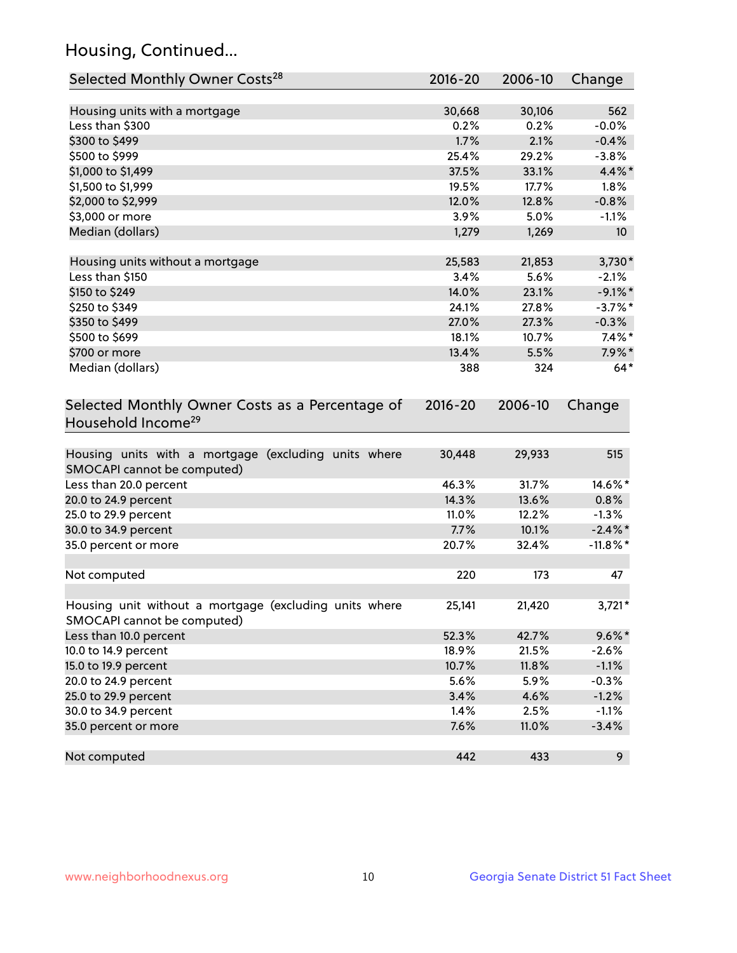## Housing, Continued...

| Selected Monthly Owner Costs <sup>28</sup>                                            | 2016-20     | 2006-10 | Change          |
|---------------------------------------------------------------------------------------|-------------|---------|-----------------|
| Housing units with a mortgage                                                         | 30,668      | 30,106  | 562             |
| Less than \$300                                                                       | 0.2%        | 0.2%    | $-0.0%$         |
| \$300 to \$499                                                                        | 1.7%        | 2.1%    | $-0.4%$         |
| \$500 to \$999                                                                        | 25.4%       | 29.2%   | $-3.8%$         |
| \$1,000 to \$1,499                                                                    | 37.5%       | 33.1%   | 4.4%*           |
| \$1,500 to \$1,999                                                                    | 19.5%       | 17.7%   | 1.8%            |
| \$2,000 to \$2,999                                                                    | 12.0%       | 12.8%   | $-0.8%$         |
| \$3,000 or more                                                                       | 3.9%        | 5.0%    | $-1.1%$         |
| Median (dollars)                                                                      | 1,279       | 1,269   | 10 <sup>°</sup> |
| Housing units without a mortgage                                                      | 25,583      | 21,853  | $3,730*$        |
| Less than \$150                                                                       | 3.4%        | 5.6%    | $-2.1%$         |
| \$150 to \$249                                                                        | 14.0%       | 23.1%   | $-9.1\%$ *      |
| \$250 to \$349                                                                        | 24.1%       | 27.8%   | $-3.7%$ *       |
| \$350 to \$499                                                                        | 27.0%       | 27.3%   | $-0.3%$         |
| \$500 to \$699                                                                        | 18.1%       | 10.7%   | $7.4\%$ *       |
| \$700 or more                                                                         | 13.4%       | 5.5%    | $7.9\%$ *       |
| Median (dollars)                                                                      | 388         | 324     | $64*$           |
| Selected Monthly Owner Costs as a Percentage of<br>Household Income <sup>29</sup>     | $2016 - 20$ | 2006-10 | Change          |
| Housing units with a mortgage (excluding units where<br>SMOCAPI cannot be computed)   | 30,448      | 29,933  | 515             |
| Less than 20.0 percent                                                                | 46.3%       | 31.7%   | 14.6%*          |
| 20.0 to 24.9 percent                                                                  | 14.3%       | 13.6%   | 0.8%            |
| 25.0 to 29.9 percent                                                                  | 11.0%       | 12.2%   | $-1.3%$         |
| 30.0 to 34.9 percent                                                                  | 7.7%        | 10.1%   | $-2.4\%$ *      |
| 35.0 percent or more                                                                  | 20.7%       | 32.4%   | $-11.8\%$ *     |
| Not computed                                                                          | 220         | 173     | 47              |
| Housing unit without a mortgage (excluding units where<br>SMOCAPI cannot be computed) | 25,141      | 21,420  | $3,721*$        |
| Less than 10.0 percent                                                                | 52.3%       | 42.7%   | $9.6\%$ *       |
| 10.0 to 14.9 percent                                                                  | 18.9%       | 21.5%   | $-2.6%$         |
| 15.0 to 19.9 percent                                                                  | 10.7%       | 11.8%   | $-1.1%$         |
| 20.0 to 24.9 percent                                                                  | 5.6%        | 5.9%    | $-0.3%$         |
| 25.0 to 29.9 percent                                                                  | 3.4%        | 4.6%    | $-1.2%$         |
| 30.0 to 34.9 percent                                                                  | 1.4%        | 2.5%    | $-1.1%$         |
| 35.0 percent or more                                                                  | 7.6%        | 11.0%   | $-3.4%$         |
| Not computed                                                                          | 442         | 433     | 9               |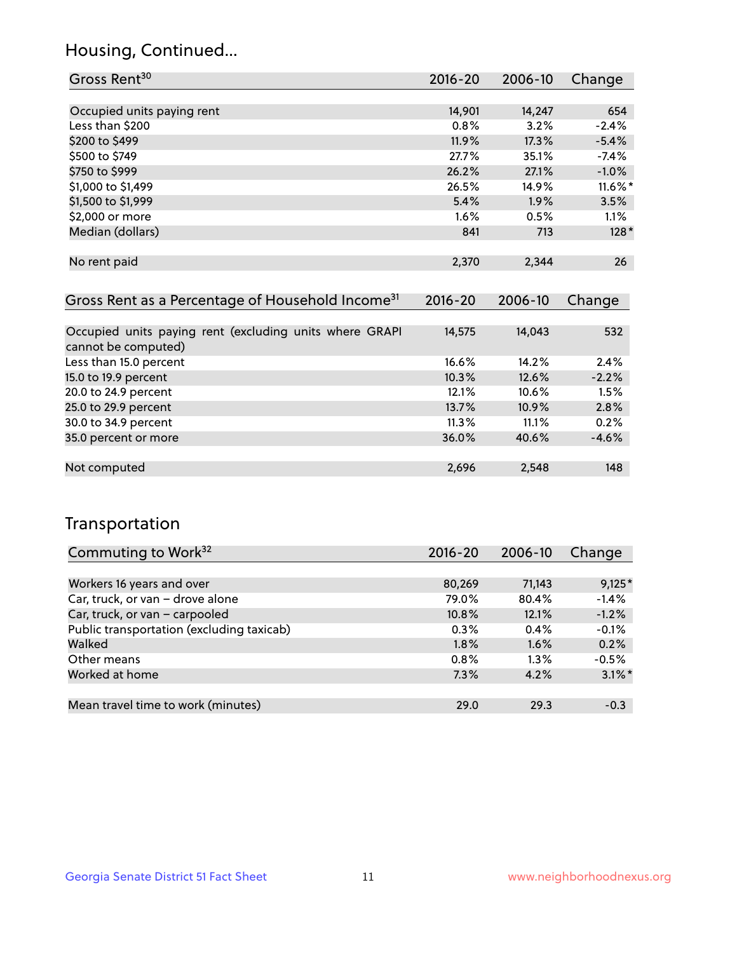## Housing, Continued...

| Gross Rent <sup>30</sup>                                     | 2016-20     | 2006-10 | Change     |
|--------------------------------------------------------------|-------------|---------|------------|
|                                                              |             |         |            |
| Occupied units paying rent                                   | 14,901      | 14,247  | 654        |
| Less than \$200                                              | 0.8%        | 3.2%    | $-2.4%$    |
| \$200 to \$499                                               | 11.9%       | 17.3%   | $-5.4%$    |
| \$500 to \$749                                               | 27.7%       | 35.1%   | $-7.4%$    |
| \$750 to \$999                                               | 26.2%       | 27.1%   | $-1.0%$    |
| \$1,000 to \$1,499                                           | 26.5%       | 14.9%   | $11.6\%$ * |
| \$1,500 to \$1,999                                           | 5.4%        | 1.9%    | 3.5%       |
| \$2,000 or more                                              | $1.6\%$     | 0.5%    | $1.1\%$    |
| Median (dollars)                                             | 841         | 713     | $128*$     |
|                                                              |             |         |            |
| No rent paid                                                 | 2,370       | 2,344   | 26         |
|                                                              |             |         |            |
| Gross Rent as a Percentage of Household Income <sup>31</sup> | $2016 - 20$ | 2006-10 | Change     |
|                                                              |             |         |            |

| Occupied units paying rent (excluding units where GRAPI<br>cannot be computed) | 14,575 | 14,043   | 532     |
|--------------------------------------------------------------------------------|--------|----------|---------|
| Less than 15.0 percent                                                         | 16.6%  | 14.2%    | 2.4%    |
| 15.0 to 19.9 percent                                                           | 10.3%  | 12.6%    | $-2.2%$ |
| 20.0 to 24.9 percent                                                           | 12.1%  | 10.6%    | 1.5%    |
| 25.0 to 29.9 percent                                                           | 13.7%  | $10.9\%$ | 2.8%    |
| 30.0 to 34.9 percent                                                           | 11.3%  | 11.1%    | 0.2%    |
| 35.0 percent or more                                                           | 36.0%  | 40.6%    | $-4.6%$ |
|                                                                                |        |          |         |
| Not computed                                                                   | 2,696  | 2,548    | 148     |

## Transportation

| Commuting to Work <sup>32</sup>           | 2016-20 | 2006-10 | Change    |
|-------------------------------------------|---------|---------|-----------|
|                                           |         |         |           |
| Workers 16 years and over                 | 80,269  | 71,143  | $9,125*$  |
| Car, truck, or van - drove alone          | 79.0%   | 80.4%   | $-1.4%$   |
| Car, truck, or van - carpooled            | 10.8%   | 12.1%   | $-1.2%$   |
| Public transportation (excluding taxicab) | 0.3%    | 0.4%    | $-0.1%$   |
| Walked                                    | 1.8%    | 1.6%    | 0.2%      |
| Other means                               | 0.8%    | $1.3\%$ | $-0.5%$   |
| Worked at home                            | 7.3%    | 4.2%    | $3.1\%$ * |
|                                           |         |         |           |
| Mean travel time to work (minutes)        | 29.0    | 29.3    | $-0.3$    |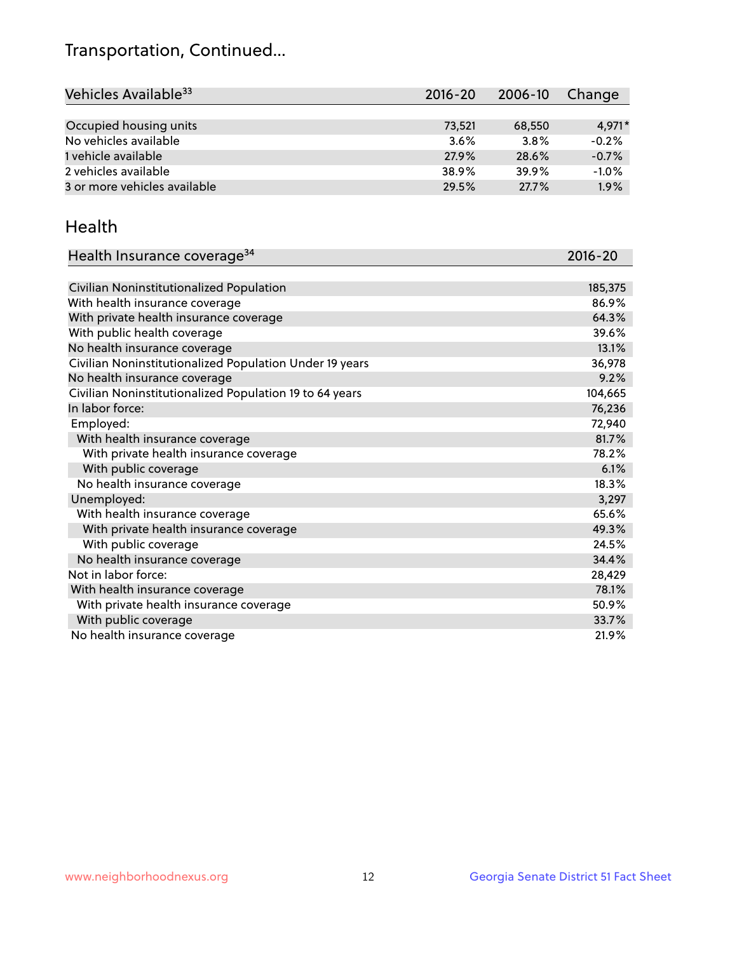## Transportation, Continued...

| Vehicles Available <sup>33</sup> | $2016 - 20$ | 2006-10 | Change  |
|----------------------------------|-------------|---------|---------|
|                                  |             |         |         |
| Occupied housing units           | 73,521      | 68,550  | 4.971*  |
| No vehicles available            | 3.6%        | 3.8%    | $-0.2%$ |
| 1 vehicle available              | 27.9%       | 28.6%   | $-0.7%$ |
| 2 vehicles available             | 38.9%       | 39.9%   | $-1.0%$ |
| 3 or more vehicles available     | 29.5%       | 27.7%   | 1.9%    |

#### Health

| Health Insurance coverage <sup>34</sup>                 | 2016-20 |
|---------------------------------------------------------|---------|
|                                                         |         |
| Civilian Noninstitutionalized Population                | 185,375 |
| With health insurance coverage                          | 86.9%   |
| With private health insurance coverage                  | 64.3%   |
| With public health coverage                             | 39.6%   |
| No health insurance coverage                            | 13.1%   |
| Civilian Noninstitutionalized Population Under 19 years | 36,978  |
| No health insurance coverage                            | 9.2%    |
| Civilian Noninstitutionalized Population 19 to 64 years | 104,665 |
| In labor force:                                         | 76,236  |
| Employed:                                               | 72,940  |
| With health insurance coverage                          | 81.7%   |
| With private health insurance coverage                  | 78.2%   |
| With public coverage                                    | 6.1%    |
| No health insurance coverage                            | 18.3%   |
| Unemployed:                                             | 3,297   |
| With health insurance coverage                          | 65.6%   |
| With private health insurance coverage                  | 49.3%   |
| With public coverage                                    | 24.5%   |
| No health insurance coverage                            | 34.4%   |
| Not in labor force:                                     | 28,429  |
| With health insurance coverage                          | 78.1%   |
| With private health insurance coverage                  | 50.9%   |
| With public coverage                                    | 33.7%   |
| No health insurance coverage                            | 21.9%   |